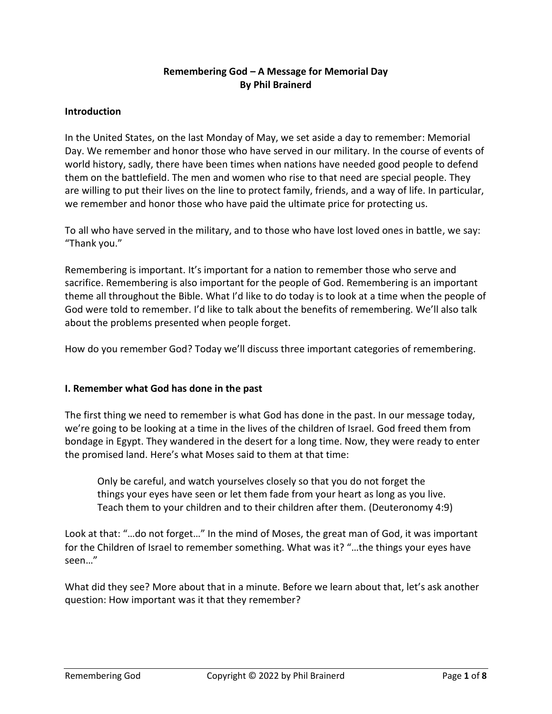# **Remembering God – A Message for Memorial Day By Phil Brainerd**

### **Introduction**

In the United States, on the last Monday of May, we set aside a day to remember: Memorial Day. We remember and honor those who have served in our military. In the course of events of world history, sadly, there have been times when nations have needed good people to defend them on the battlefield. The men and women who rise to that need are special people. They are willing to put their lives on the line to protect family, friends, and a way of life. In particular, we remember and honor those who have paid the ultimate price for protecting us.

To all who have served in the military, and to those who have lost loved ones in battle, we say: "Thank you."

Remembering is important. It's important for a nation to remember those who serve and sacrifice. Remembering is also important for the people of God. Remembering is an important theme all throughout the Bible. What I'd like to do today is to look at a time when the people of God were told to remember. I'd like to talk about the benefits of remembering. We'll also talk about the problems presented when people forget.

How do you remember God? Today we'll discuss three important categories of remembering.

### **I. Remember what God has done in the past**

The first thing we need to remember is what God has done in the past. In our message today, we're going to be looking at a time in the lives of the children of Israel. God freed them from bondage in Egypt. They wandered in the desert for a long time. Now, they were ready to enter the promised land. Here's what Moses said to them at that time:

Only be careful, and watch yourselves closely so that you do not forget the things your eyes have seen or let them fade from your heart as long as you live. Teach them to your children and to their children after them. (Deuteronomy 4:9)

Look at that: "…do not forget…" In the mind of Moses, the great man of God, it was important for the Children of Israel to remember something. What was it? "…the things your eyes have seen…"

What did they see? More about that in a minute. Before we learn about that, let's ask another question: How important was it that they remember?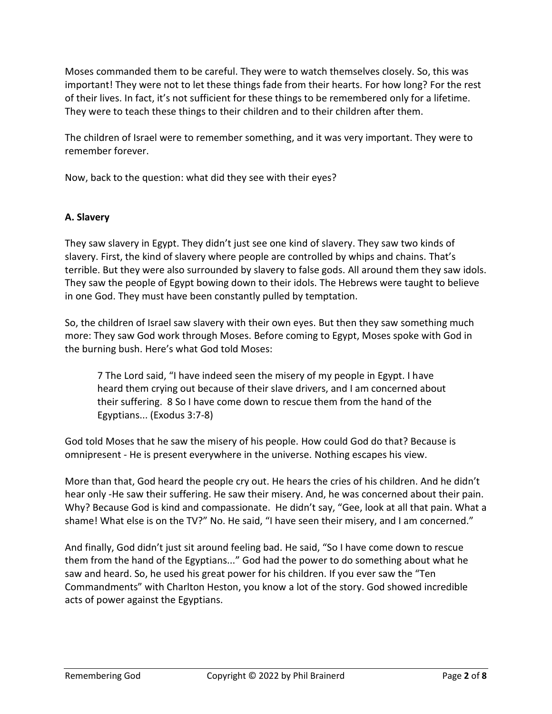Moses commanded them to be careful. They were to watch themselves closely. So, this was important! They were not to let these things fade from their hearts. For how long? For the rest of their lives. In fact, it's not sufficient for these things to be remembered only for a lifetime. They were to teach these things to their children and to their children after them.

The children of Israel were to remember something, and it was very important. They were to remember forever.

Now, back to the question: what did they see with their eyes?

### **A. Slavery**

They saw slavery in Egypt. They didn't just see one kind of slavery. They saw two kinds of slavery. First, the kind of slavery where people are controlled by whips and chains. That's terrible. But they were also surrounded by slavery to false gods. All around them they saw idols. They saw the people of Egypt bowing down to their idols. The Hebrews were taught to believe in one God. They must have been constantly pulled by temptation.

So, the children of Israel saw slavery with their own eyes. But then they saw something much more: They saw God work through Moses. Before coming to Egypt, Moses spoke with God in the burning bush. Here's what God told Moses:

7 The Lord said, "I have indeed seen the misery of my people in Egypt. I have heard them crying out because of their slave drivers, and I am concerned about their suffering. 8 So I have come down to rescue them from the hand of the Egyptians... (Exodus 3:7-8)

God told Moses that he saw the misery of his people. How could God do that? Because is omnipresent - He is present everywhere in the universe. Nothing escapes his view.

More than that, God heard the people cry out. He hears the cries of his children. And he didn't hear only -He saw their suffering. He saw their misery. And, he was concerned about their pain. Why? Because God is kind and compassionate. He didn't say, "Gee, look at all that pain. What a shame! What else is on the TV?" No. He said, "I have seen their misery, and I am concerned."

And finally, God didn't just sit around feeling bad. He said, "So I have come down to rescue them from the hand of the Egyptians..." God had the power to do something about what he saw and heard. So, he used his great power for his children. If you ever saw the "Ten Commandments" with Charlton Heston, you know a lot of the story. God showed incredible acts of power against the Egyptians.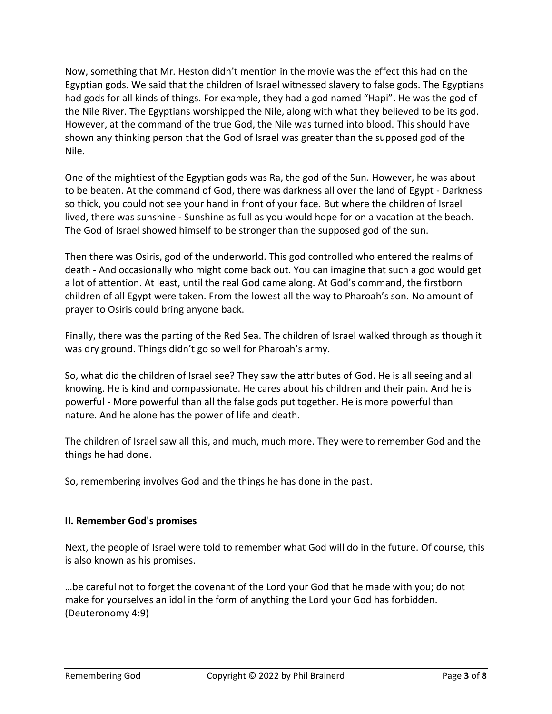Now, something that Mr. Heston didn't mention in the movie was the effect this had on the Egyptian gods. We said that the children of Israel witnessed slavery to false gods. The Egyptians had gods for all kinds of things. For example, they had a god named "Hapi". He was the god of the Nile River. The Egyptians worshipped the Nile, along with what they believed to be its god. However, at the command of the true God, the Nile was turned into blood. This should have shown any thinking person that the God of Israel was greater than the supposed god of the Nile.

One of the mightiest of the Egyptian gods was Ra, the god of the Sun. However, he was about to be beaten. At the command of God, there was darkness all over the land of Egypt - Darkness so thick, you could not see your hand in front of your face. But where the children of Israel lived, there was sunshine - Sunshine as full as you would hope for on a vacation at the beach. The God of Israel showed himself to be stronger than the supposed god of the sun.

Then there was Osiris, god of the underworld. This god controlled who entered the realms of death - And occasionally who might come back out. You can imagine that such a god would get a lot of attention. At least, until the real God came along. At God's command, the firstborn children of all Egypt were taken. From the lowest all the way to Pharoah's son. No amount of prayer to Osiris could bring anyone back.

Finally, there was the parting of the Red Sea. The children of Israel walked through as though it was dry ground. Things didn't go so well for Pharoah's army.

So, what did the children of Israel see? They saw the attributes of God. He is all seeing and all knowing. He is kind and compassionate. He cares about his children and their pain. And he is powerful - More powerful than all the false gods put together. He is more powerful than nature. And he alone has the power of life and death.

The children of Israel saw all this, and much, much more. They were to remember God and the things he had done.

So, remembering involves God and the things he has done in the past.

## **II. Remember God's promises**

Next, the people of Israel were told to remember what God will do in the future. Of course, this is also known as his promises.

…be careful not to forget the covenant of the Lord your God that he made with you; do not make for yourselves an idol in the form of anything the Lord your God has forbidden. (Deuteronomy 4:9)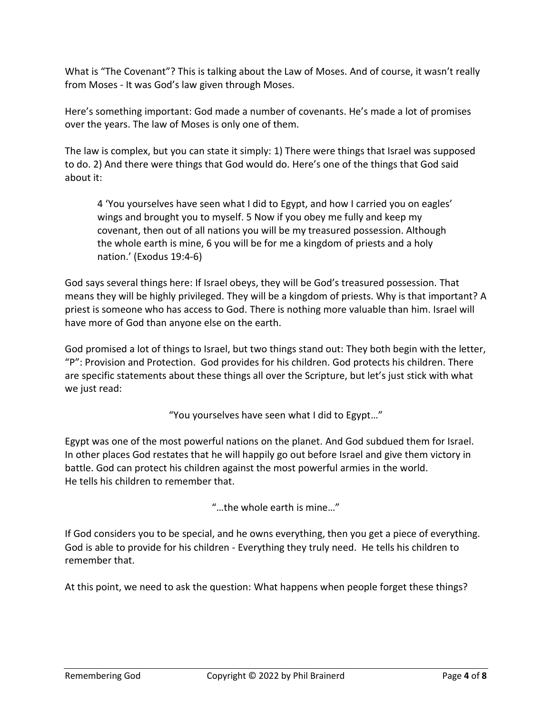What is "The Covenant"? This is talking about the Law of Moses. And of course, it wasn't really from Moses - It was God's law given through Moses.

Here's something important: God made a number of covenants. He's made a lot of promises over the years. The law of Moses is only one of them.

The law is complex, but you can state it simply: 1) There were things that Israel was supposed to do. 2) And there were things that God would do. Here's one of the things that God said about it:

4 'You yourselves have seen what I did to Egypt, and how I carried you on eagles' wings and brought you to myself. 5 Now if you obey me fully and keep my covenant, then out of all nations you will be my treasured possession. Although the whole earth is mine, 6 you will be for me a kingdom of priests and a holy nation.' (Exodus 19:4-6)

God says several things here: If Israel obeys, they will be God's treasured possession. That means they will be highly privileged. They will be a kingdom of priests. Why is that important? A priest is someone who has access to God. There is nothing more valuable than him. Israel will have more of God than anyone else on the earth.

God promised a lot of things to Israel, but two things stand out: They both begin with the letter, "P": Provision and Protection. God provides for his children. God protects his children. There are specific statements about these things all over the Scripture, but let's just stick with what we just read:

"You yourselves have seen what I did to Egypt…"

Egypt was one of the most powerful nations on the planet. And God subdued them for Israel. In other places God restates that he will happily go out before Israel and give them victory in battle. God can protect his children against the most powerful armies in the world. He tells his children to remember that.

"…the whole earth is mine…"

If God considers you to be special, and he owns everything, then you get a piece of everything. God is able to provide for his children - Everything they truly need. He tells his children to remember that.

At this point, we need to ask the question: What happens when people forget these things?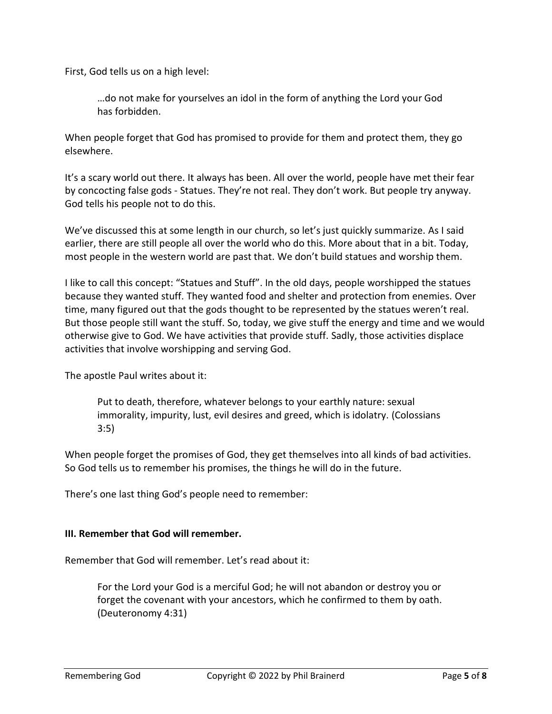First, God tells us on a high level:

…do not make for yourselves an idol in the form of anything the Lord your God has forbidden.

When people forget that God has promised to provide for them and protect them, they go elsewhere.

It's a scary world out there. It always has been. All over the world, people have met their fear by concocting false gods - Statues. They're not real. They don't work. But people try anyway. God tells his people not to do this.

We've discussed this at some length in our church, so let's just quickly summarize. As I said earlier, there are still people all over the world who do this. More about that in a bit. Today, most people in the western world are past that. We don't build statues and worship them.

I like to call this concept: "Statues and Stuff". In the old days, people worshipped the statues because they wanted stuff. They wanted food and shelter and protection from enemies. Over time, many figured out that the gods thought to be represented by the statues weren't real. But those people still want the stuff. So, today, we give stuff the energy and time and we would otherwise give to God. We have activities that provide stuff. Sadly, those activities displace activities that involve worshipping and serving God.

The apostle Paul writes about it:

Put to death, therefore, whatever belongs to your earthly nature: sexual immorality, impurity, lust, evil desires and greed, which is idolatry. (Colossians 3:5)

When people forget the promises of God, they get themselves into all kinds of bad activities. So God tells us to remember his promises, the things he will do in the future.

There's one last thing God's people need to remember:

### **III. Remember that God will remember.**

Remember that God will remember. Let's read about it:

For the Lord your God is a merciful God; he will not abandon or destroy you or forget the covenant with your ancestors, which he confirmed to them by oath. (Deuteronomy 4:31)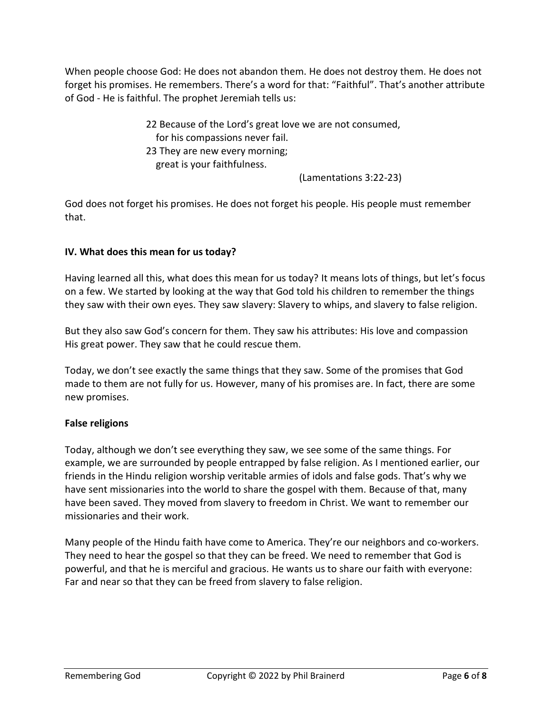When people choose God: He does not abandon them. He does not destroy them. He does not forget his promises. He remembers. There's a word for that: "Faithful". That's another attribute of God - He is faithful. The prophet Jeremiah tells us:

> 22 Because of the Lord's great love we are not consumed, for his compassions never fail. 23 They are new every morning; great is your faithfulness.

(Lamentations 3:22-23)

God does not forget his promises. He does not forget his people. His people must remember that.

## **IV. What does this mean for us today?**

Having learned all this, what does this mean for us today? It means lots of things, but let's focus on a few. We started by looking at the way that God told his children to remember the things they saw with their own eyes. They saw slavery: Slavery to whips, and slavery to false religion.

But they also saw God's concern for them. They saw his attributes: His love and compassion His great power. They saw that he could rescue them.

Today, we don't see exactly the same things that they saw. Some of the promises that God made to them are not fully for us. However, many of his promises are. In fact, there are some new promises.

## **False religions**

Today, although we don't see everything they saw, we see some of the same things. For example, we are surrounded by people entrapped by false religion. As I mentioned earlier, our friends in the Hindu religion worship veritable armies of idols and false gods. That's why we have sent missionaries into the world to share the gospel with them. Because of that, many have been saved. They moved from slavery to freedom in Christ. We want to remember our missionaries and their work.

Many people of the Hindu faith have come to America. They're our neighbors and co-workers. They need to hear the gospel so that they can be freed. We need to remember that God is powerful, and that he is merciful and gracious. He wants us to share our faith with everyone: Far and near so that they can be freed from slavery to false religion.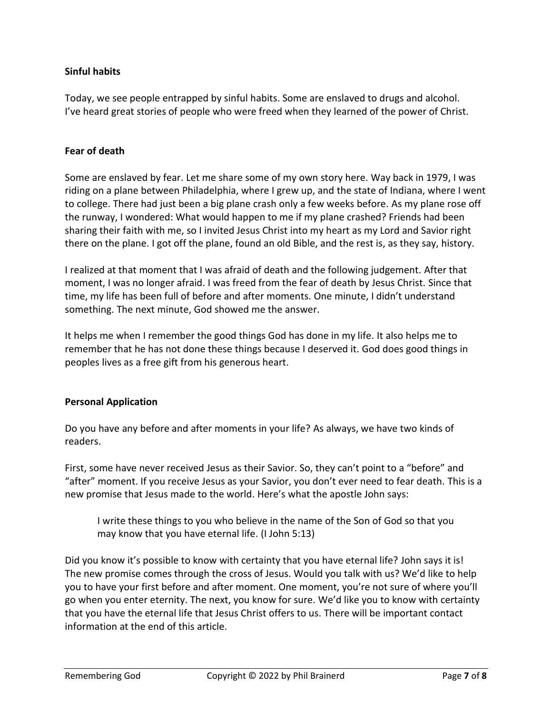### **Sinful habits**

Today, we see people entrapped by sinful habits. Some are enslaved to drugs and alcohol. I've heard great stories of people who were freed when they learned of the power of Christ.

#### **Fear of death**

Some are enslaved by fear. Let me share some of my own story here. Way back in 1979, I was riding on a plane between Philadelphia, where I grew up, and the state of Indiana, where I went to college. There had just been a big plane crash only a few weeks before. As my plane rose off the runway, I wondered: What would happen to me if my plane crashed? Friends had been sharing their faith with me, so I invited Jesus Christ into my heart as my Lord and Savior right there on the plane. I got off the plane, found an old Bible, and the rest is, as they say, history.

I realized at that moment that I was afraid of death and the following judgement. After that moment, I was no longer afraid. I was freed from the fear of death by Jesus Christ. Since that time, my life has been full of before and after moments. One minute, I didn't understand something. The next minute, God showed me the answer.

It helps me when I remember the good things God has done in my life. It also helps me to remember that he has not done these things because I deserved it. God does good things in peoples lives as a free gift from his generous heart.

### **Personal Application**

Do you have any before and after moments in your life? As always, we have two kinds of readers.

First, some have never received Jesus as their Savior. So, they can't point to a "before" and "after" moment. If you receive Jesus as your Savior, you don't ever need to fear death. This is a new promise that Jesus made to the world. Here's what the apostle John says:

I write these things to you who believe in the name of the Son of God so that you may know that you have eternal life. (I John 5:13)

Did you know it's possible to know with certainty that you have eternal life? John says it is! The new promise comes through the cross of Jesus. Would you talk with us? We'd like to help you to have your first before and after moment. One moment, you're not sure of where you'll go when you enter eternity. The next, you know for sure. We'd like you to know with certainty that you have the eternal life that Jesus Christ offers to us. There will be important contact information at the end of this article.